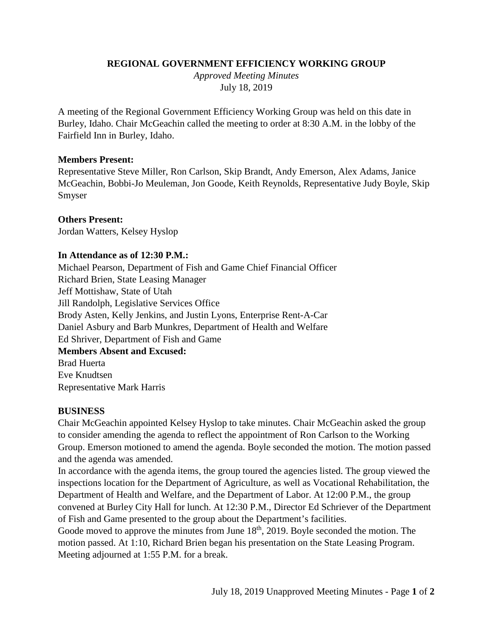# **REGIONAL GOVERNMENT EFFICIENCY WORKING GROUP**

*Approved Meeting Minutes*  July 18, 2019

A meeting of the Regional Government Efficiency Working Group was held on this date in Burley, Idaho. Chair McGeachin called the meeting to order at 8:30 A.M. in the lobby of the Fairfield Inn in Burley, Idaho.

### **Members Present:**

Representative Steve Miller, Ron Carlson, Skip Brandt, Andy Emerson, Alex Adams, Janice McGeachin, Bobbi-Jo Meuleman, Jon Goode, Keith Reynolds, Representative Judy Boyle, Skip Smyser

**Others Present:** Jordan Watters, Kelsey Hyslop

### **In Attendance as of 12:30 P.M.:**

Michael Pearson, Department of Fish and Game Chief Financial Officer Richard Brien, State Leasing Manager Jeff Mottishaw, State of Utah Jill Randolph, Legislative Services Office Brody Asten, Kelly Jenkins, and Justin Lyons, Enterprise Rent-A-Car Daniel Asbury and Barb Munkres, Department of Health and Welfare Ed Shriver, Department of Fish and Game **Members Absent and Excused:** Brad Huerta Eve Knudtsen Representative Mark Harris

### **BUSINESS**

Chair McGeachin appointed Kelsey Hyslop to take minutes. Chair McGeachin asked the group to consider amending the agenda to reflect the appointment of Ron Carlson to the Working Group. Emerson motioned to amend the agenda. Boyle seconded the motion. The motion passed and the agenda was amended.

In accordance with the agenda items, the group toured the agencies listed. The group viewed the inspections location for the Department of Agriculture, as well as Vocational Rehabilitation, the Department of Health and Welfare, and the Department of Labor. At 12:00 P.M., the group convened at Burley City Hall for lunch. At 12:30 P.M., Director Ed Schriever of the Department of Fish and Game presented to the group about the Department's facilities.

Goode moved to approve the minutes from June  $18<sup>th</sup>$ , 2019. Boyle seconded the motion. The motion passed. At 1:10, Richard Brien began his presentation on the State Leasing Program. Meeting adjourned at 1:55 P.M. for a break.